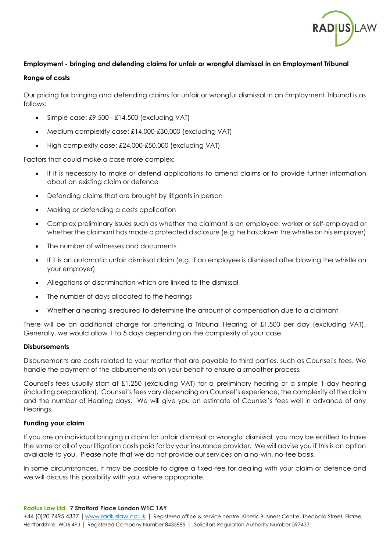

### **Employment - bringing and defending claims for unfair or wrongful dismissal in an Employment Tribunal**

#### **Range of costs**

Our pricing for bringing and defending claims for unfair or wrongful dismissal in an Employment Tribunal is as follows:

- Simple case: £9,500 £14,500 (excluding VAT)
- Medium complexity case: £14,000-£30,000 (excluding VAT)
- High complexity case: £24,000-£50,000 (excluding VAT)

Factors that could make a case more complex:

- If it is necessary to make or defend applications to amend claims or to provide further information about an existing claim or defence
- Defending claims that are brought by litigants in person
- Making or defending a costs application
- Complex preliminary issues such as whether the claimant is an employee, worker or self-employed or whether the claimant has made a protected disclosure (e.g. he has blown the whistle on his employer)
- The number of witnesses and documents
- If it is an automatic unfair dismissal claim (e.g. if an employee is dismissed after blowing the whistle on your employer)
- Allegations of discrimination which are linked to the dismissal
- The number of days allocated to the hearings
- Whether a hearing is required to determine the amount of compensation due to a claimant

There will be an additional charge for attending a Tribunal Hearing of £1,500 per day (excluding VAT). Generally, we would allow 1 to 5 days depending on the complexity of your case.

### **Disbursements**

Disbursements are costs related to your matter that are payable to third parties, such as Counsel's fees. We handle the payment of the disbursements on your behalf to ensure a smoother process.

Counsel's fees usually start at £1,250 (excluding VAT) for a preliminary hearing or a simple 1-day hearing (including preparation). Counsel's fees vary depending on Counsel's experience, the complexity of the claim and the number of Hearing days. We will give you an estimate of Counsel's fees well in advance of any Hearings.

### **Funding your claim**

If you are an individual bringing a claim for unfair dismissal or wrongful dismissal, you may be entitled to have the some or all of your litigation costs paid for by your insurance provider. We will advise you if this is an option available to you. Please note that we do not provide our services on a no-win, no-fee basis.

In some circumstances, it may be possible to agree a fixed-fee for dealing with your claim or defence and we will discuss this possibility with you, where appropriate.

#### **Radius Law Ltd. 7 Stratford Place London W1C 1AY**